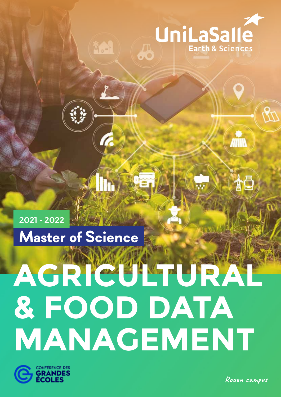

ÀÕ

# **Master of Science** 2021 - 2022

# **AGRICULTURAL & FOOD DATA MANAGEMENT**



**Rouen campus**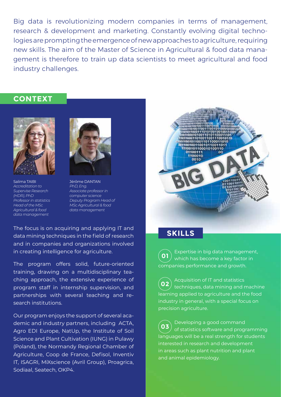Big data is revolutionizing modern companies in terms of management, research & development and marketing. Constantly evolving digital technologies are prompting the emergence of new approaches to agriculture, requiring new skills. The aim of the Master of Science in Agricultural & food data management is therefore to train up data scientists to meet agricultural and food industry challenges.

### **CONTEXT**



Salima TAIBI *Accreditation to Supervise Research (HDR), PhD Professor in statistics Head of the MSc Agricultural & food data management*



Jérôme DANTAN *PhD, Eng. Associate professor in computer science Deputy Program Head of MSc Agricultural & food data management*

The focus is on acquiring and applying IT and data mining techniques in the field of research and in companies and organizations involved in creating intelligence for agriculture.

The program offers solid, future-oriented training, drawing on a multidisciplinary teaching approach, the extensive experience of program staff in internship supervision, and partnerships with several teaching and research institutions.

Our program enjoys the support of several academic and industry partners, including ACTA, Agro EDI Europe, NatUp, the Institute of Soil Science and Plant Cultivation (IUNG) in Pulawy (Poland), the Normandy Regional Chamber of Agriculture, Coop de France, Defisol, Inventiv IT, ISAGRI, MiXscience (Avril Group), Proagrica, Sodiaal, Seatech, OKP4.



### **SKILLS**

Expertise in big data management, which has become a key factor in companies performance and growth. **01**

Acquisition of IT and statistics techniques, data mining and machine learning applied to agriculture and the food industry in general, with a special focus on precision agriculture. **02**

Developing a good command of statistics software and programming languages will be a real strength for students interested in research and development in areas such as plant nutrition and plant and animal epidemiology. **03**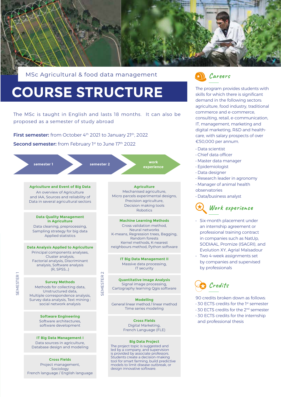

MSc Agricultural & food data management

# **COURSE STRUCTURE**

The MSc is taught in English and lasts 18 months. It can also be proposed as a semester of study abroad

**First semester:** from October 4<sup>th</sup> 2021 to January 21<sup>th</sup>, 2022 **Second semester:** from February 1st to June 17th 2022





The program provides students with skills for which there is significant demand in the following sectors: agriculture, food industry, traditional commerce and e-commerce, consulting, retail, e-communication, IT, management, marketing and digital marketing, R&D and healthcare, with salary prospects of over €50,000 per annum.

- Data scientist
- Chief data officer
- Master data manager
- Epidemiologist
- Data designer
- Research leader in agronomy
- Manager of animal health observatories
- Data/business analyst

## **Work experience**

- Six-month placement under an internship agreement or professional training contract in companies such as NatUp, SODIAAL, Promize (ISAGRI), and Evolution XY, Agrial Maïsadour
- Two 4-week assignments set by companies and supervised by professionals



90 credits broken down as follows:

- 30 ECTS credits for the 1st semester
- 30 ECTS credits for the 2<sup>nd</sup> semester
- 30 ECTS credits for the internship and professional thesis